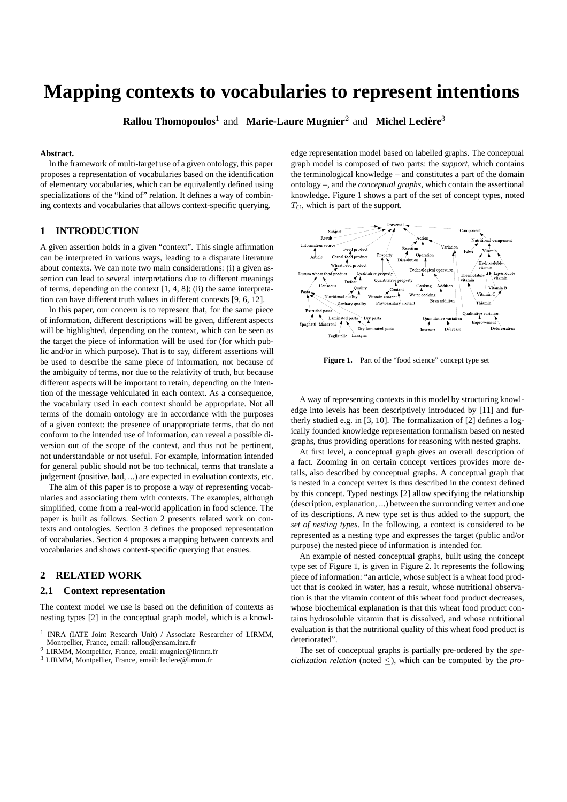# **Mapping contexts to vocabularies to represent intentions**

**Rallou Thomopoulos<sup>1</sup> and Marie-Laure Mugnier<sup>2</sup> and Michel Leclère<sup>3</sup>** 

## **Abstract.**

In the framework of multi-target use of a given ontology, this paper proposes a representation of vocabularies based on the identification of elementary vocabularies, which can be equivalently defined using specializations of the "kind of" relation. It defines a way of combining contexts and vocabularies that allows context-specific querying.

# **1 INTRODUCTION**

A given assertion holds in a given "context". This single affirmation can be interpreted in various ways, leading to a disparate literature about contexts. We can note two main considerations: (i) a given assertion can lead to several interpretations due to different meanings of terms, depending on the context [1, 4, 8]; (ii) the same interpretation can have different truth values in different contexts [9, 6, 12].

In this paper, our concern is to represent that, for the same piece of information, different descriptions will be given, different aspects will be highlighted, depending on the context, which can be seen as the target the piece of information will be used for (for which public and/or in which purpose). That is to say, different assertions will be used to describe the same piece of information, not because of the ambiguity of terms, nor due to the relativity of truth, but because different aspects will be important to retain, depending on the intention of the message vehiculated in each context. As a consequence, the vocabulary used in each context should be appropriate. Not all terms of the domain ontology are in accordance with the purposes of a given context: the presence of unappropriate terms, that do not conform to the intended use of information, can reveal a possible diversion out of the scope of the context, and thus not be pertinent, not understandable or not useful. For example, information intended for general public should not be too technical, terms that translate a judgement (positive, bad, ...) are expected in evaluation contexts, etc.

The aim of this paper is to propose a way of representing vocabularies and associating them with contexts. The examples, although simplified, come from a real-world application in food science. The paper is built as follows. Section 2 presents related work on contexts and ontologies. Section 3 defines the proposed representation of vocabularies. Section 4 proposes a mapping between contexts and vocabularies and shows context-specific querying that ensues.

# **2 RELATED WORK**

#### **2.1 Context representation**

The context model we use is based on the definition of contexts as nesting types [2] in the conceptual graph model, which is a knowledge representation model based on labelled graphs. The conceptual graph model is composed of two parts: the *support*, which contains the terminological knowledge – and constitutes a part of the domain ontology –, and the *conceptual graphs*, which contain the assertional knowledge. Figure 1 shows a part of the set of concept types, noted  $T_C$ , which is part of the support.



Figure 1. Part of the "food science" concept type set

A way of representing contexts in this model by structuring knowledge into levels has been descriptively introduced by [11] and furtherly studied e.g. in [3, 10]. The formalization of [2] defines a logically founded knowledge representation formalism based on nested graphs, thus providing operations for reasoning with nested graphs.

At first level, a conceptual graph gives an overall description of a fact. Zooming in on certain concept vertices provides more details, also described by conceptual graphs. A conceptual graph that is nested in a concept vertex is thus described in the context defined by this concept. Typed nestings [2] allow specifying the relationship (description, explanation, ...) between the surrounding vertex and one of its descriptions. A new type set is thus added to the support, the *set of nesting types*. In the following, a context is considered to be represented as a nesting type and expresses the target (public and/or purpose) the nested piece of information is intended for.

An example of nested conceptual graphs, built using the concept type set of Figure 1, is given in Figure 2. It represents the following piece of information: "an article, whose subject is a wheat food product that is cooked in water, has a result, whose nutritional observation is that the vitamin content of this wheat food product decreases, whose biochemical explanation is that this wheat food product contains hydrosoluble vitamin that is dissolved, and whose nutritional evaluation is that the nutritional quality of this wheat food product is deteriorated".

The set of conceptual graphs is partially pre-ordered by the *specialization relation* (noted  $\leq$ ), which can be computed by the *pro-*

<sup>&</sup>lt;sup>1</sup> INRA (IATE Joint Research Unit) / Associate Researcher of LIRMM, Montpellier, France, email: rallou@ensam.inra.fr

<sup>2</sup> LIRMM, Montpellier, France, email: mugnier@lirmm.fr

<sup>3</sup> LIRMM, Montpellier, France, email: leclere@lirmm.fr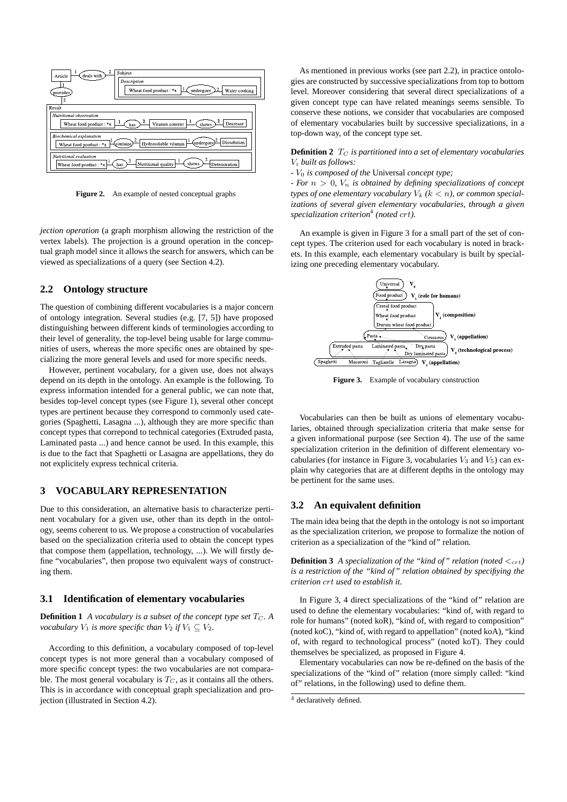

**Figure 2.** An example of nested conceptual graphs

*jection operation* (a graph morphism allowing the restriction of the vertex labels). The projection is a ground operation in the conceptual graph model since it allows the search for answers, which can be viewed as specializations of a query (see Section 4.2).

## **2.2 Ontology structure**

The question of combining different vocabularies is a major concern of ontology integration. Several studies (e.g. [7, 5]) have proposed distinguishing between different kinds of terminologies according to their level of generality, the top-level being usable for large communities of users, whereas the more specific ones are obtained by specializing the more general levels and used for more specific needs.

However, pertinent vocabulary, for a given use, does not always depend on its depth in the ontology. An example is the following. To express information intended for a general public, we can note that, besides top-level concept types (see Figure 1), several other concept types are pertinent because they correspond to commonly used categories (Spaghetti, Lasagna ...), although they are more specific than concept types that correpond to technical categories (Extruded pasta, Laminated pasta ...) and hence cannot be used. In this example, this is due to the fact that Spaghetti or Lasagna are appellations, they do not explicitely express technical criteria.

## **3 VOCABULARY REPRESENTATION**

Due to this consideration, an alternative basis to characterize pertinent vocabulary for a given use, other than its depth in the ontology, seems coherent to us. We propose a construction of vocabularies based on the specialization criteria used to obtain the concept types that compose them (appellation, technology, ...). We will firstly define "vocabularies", then propose two equivalent ways of constructing them.

## **3.1 Identification of elementary vocabularies**

**Definition 1** *A vocabulary is a subset of the concept type set*  $T_C$ . A *vocabulary*  $V_1$  *is more specific than*  $V_2$  *if*  $V_1 \subseteq V_2$ *.* 

According to this definition, a vocabulary composed of top-level concept types is not more general than a vocabulary composed of more specific concept types: the two vocabularies are not comparable. The most general vocabulary is  $T_C$ , as it contains all the others. This is in accordance with conceptual graph specialization and projection (illustrated in Section 4.2).

As mentioned in previous works (see part 2.2), in practice ontologies are constructed by successive specializations from top to bottom level. Moreover considering that several direct specializations of a given concept type can have related meanings seems sensible. To conserve these notions, we consider that vocabularies are composed of elementary vocabularies built by successive specializations, in a top-down way, of the concept type set.

**Definition 2**  $T_C$  *is partitioned into a set of elementary vocabularies* V<sup>i</sup> *built as follows:*

*-* V<sup>0</sup> *is composed of the* Universal *concept type;*

*- For*  $n > 0$ ,  $V_n$  *is obtained by defining specializations of concept types of one elementary vocabulary*  $V_k$  ( $k < n$ ), *or common specializations of several given elementary vocabularies, through a given specialization criterion*<sup>4</sup> *(noted* crt*).*

An example is given in Figure 3 for a small part of the set of concept types. The criterion used for each vocabulary is noted in brackets. In this example, each elementary vocabulary is built by specializing one preceding elementary vocabulary.



**Figure 3.** Example of vocabulary construction

Vocabularies can then be built as unions of elementary vocabularies, obtained through specialization criteria that make sense for a given informational purpose (see Section 4). The use of the same specialization criterion in the definition of different elementary vocabularies (for instance in Figure 3, vocabularies  $V_3$  and  $V_5$ ) can explain why categories that are at different depths in the ontology may be pertinent for the same uses.

# **3.2 An equivalent definition**

The main idea being that the depth in the ontology is not so important as the specialization criterion, we propose to formalize the notion of criterion as a specialization of the "kind of" relation.

**Definition 3** *A specialization of the "kind of" relation (noted*  $\langle c_{\text{crt}} \rangle$ *is a restriction of the "kind of" relation obtained by specifiying the criterion* crt *used to establish it.*

In Figure 3, 4 direct specializations of the "kind of" relation are used to define the elementary vocabularies: "kind of, with regard to role for humans" (noted koR), "kind of, with regard to composition" (noted koC), "kind of, with regard to appellation" (noted koA), "kind of, with regard to technological process" (noted koT). They could themselves be specialized, as proposed in Figure 4.

Elementary vocabularies can now be re-defined on the basis of the specializations of the "kind of" relation (more simply called: "kind of" relations, in the following) used to define them.

<sup>4</sup> declaratively defined.